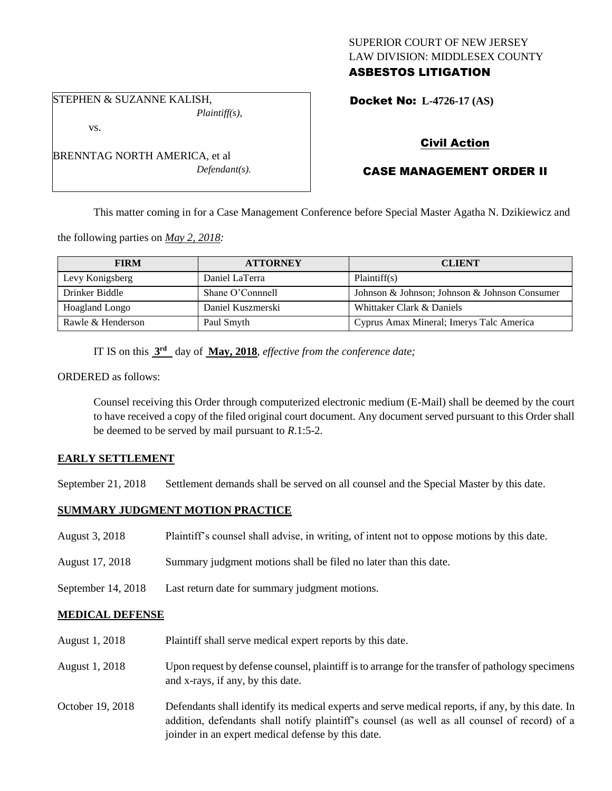## SUPERIOR COURT OF NEW JERSEY LAW DIVISION: MIDDLESEX COUNTY ASBESTOS LITIGATION

STEPHEN & SUZANNE KALISH, *Plaintiff(s),*

vs.

BRENNTAG NORTH AMERICA, et al *Defendant(s).* Docket No: **L-4726-17 (AS)** 

# Civil Action

# CASE MANAGEMENT ORDER II

This matter coming in for a Case Management Conference before Special Master Agatha N. Dzikiewicz and

the following parties on *May 2, 2018:*

| <b>FIRM</b>       | <b>ATTORNEY</b>   | <b>CLIENT</b>                                 |
|-------------------|-------------------|-----------------------------------------------|
| Levy Konigsberg   | Daniel LaTerra    | Plaintiff(s)                                  |
| Drinker Biddle    | Shane O'Connnell  | Johnson & Johnson; Johnson & Johnson Consumer |
| Hoagland Longo    | Daniel Kuszmerski | Whittaker Clark & Daniels                     |
| Rawle & Henderson | Paul Smyth        | Cyprus Amax Mineral; Imerys Talc America      |

IT IS on this **3 rd** day of **May, 2018**, *effective from the conference date;*

ORDERED as follows:

Counsel receiving this Order through computerized electronic medium (E-Mail) shall be deemed by the court to have received a copy of the filed original court document. Any document served pursuant to this Order shall be deemed to be served by mail pursuant to *R*.1:5-2.

## **EARLY SETTLEMENT**

September 21, 2018 Settlement demands shall be served on all counsel and the Special Master by this date.

## **SUMMARY JUDGMENT MOTION PRACTICE**

| August 3, 2018         | Plaintiff's counsel shall advise, in writing, of intent not to oppose motions by this date.                                           |  |
|------------------------|---------------------------------------------------------------------------------------------------------------------------------------|--|
| August 17, 2018        | Summary judgment motions shall be filed no later than this date.                                                                      |  |
| September 14, 2018     | Last return date for summary judgment motions.                                                                                        |  |
| <b>MEDICAL DEFENSE</b> |                                                                                                                                       |  |
| August 1, 2018         | Plaintiff shall serve medical expert reports by this date.                                                                            |  |
| August 1, 2018         | Upon request by defense counsel, plaintiff is to arrange for the transfer of pathology specimens<br>and x-rays, if any, by this date. |  |

October 19, 2018 Defendants shall identify its medical experts and serve medical reports, if any, by this date. In addition, defendants shall notify plaintiff's counsel (as well as all counsel of record) of a joinder in an expert medical defense by this date.